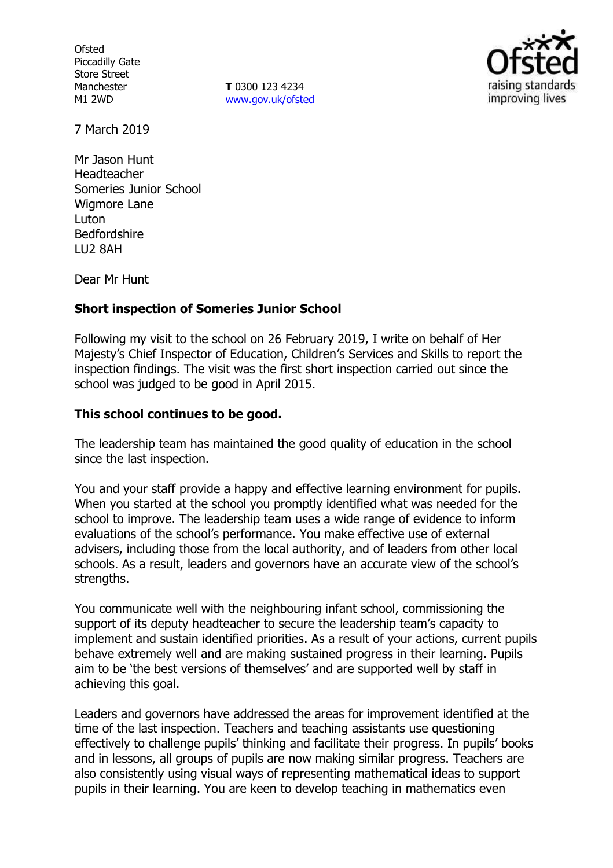**Ofsted** Piccadilly Gate Store Street Manchester M1 2WD

**T** 0300 123 4234 www.gov.uk/ofsted



7 March 2019

Mr Jason Hunt Headteacher Someries Junior School Wigmore Lane **Luton** Bedfordshire LU2 8AH

Dear Mr Hunt

### **Short inspection of Someries Junior School**

Following my visit to the school on 26 February 2019, I write on behalf of Her Majesty's Chief Inspector of Education, Children's Services and Skills to report the inspection findings. The visit was the first short inspection carried out since the school was judged to be good in April 2015.

### **This school continues to be good.**

The leadership team has maintained the good quality of education in the school since the last inspection.

You and your staff provide a happy and effective learning environment for pupils. When you started at the school you promptly identified what was needed for the school to improve. The leadership team uses a wide range of evidence to inform evaluations of the school's performance. You make effective use of external advisers, including those from the local authority, and of leaders from other local schools. As a result, leaders and governors have an accurate view of the school's strengths.

You communicate well with the neighbouring infant school, commissioning the support of its deputy headteacher to secure the leadership team's capacity to implement and sustain identified priorities. As a result of your actions, current pupils behave extremely well and are making sustained progress in their learning. Pupils aim to be 'the best versions of themselves' and are supported well by staff in achieving this goal.

Leaders and governors have addressed the areas for improvement identified at the time of the last inspection. Teachers and teaching assistants use questioning effectively to challenge pupils' thinking and facilitate their progress. In pupils' books and in lessons, all groups of pupils are now making similar progress. Teachers are also consistently using visual ways of representing mathematical ideas to support pupils in their learning. You are keen to develop teaching in mathematics even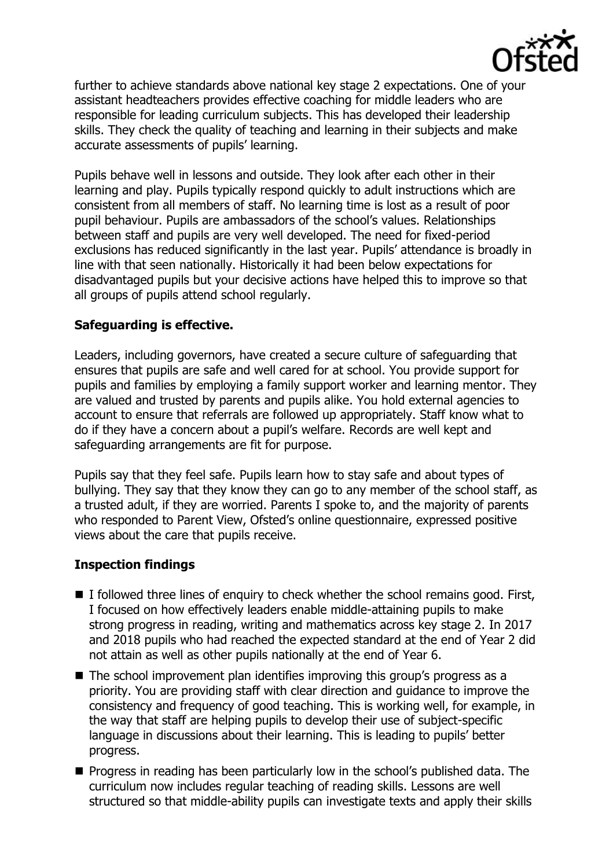

further to achieve standards above national key stage 2 expectations. One of your assistant headteachers provides effective coaching for middle leaders who are responsible for leading curriculum subjects. This has developed their leadership skills. They check the quality of teaching and learning in their subjects and make accurate assessments of pupils' learning.

Pupils behave well in lessons and outside. They look after each other in their learning and play. Pupils typically respond quickly to adult instructions which are consistent from all members of staff. No learning time is lost as a result of poor pupil behaviour. Pupils are ambassadors of the school's values. Relationships between staff and pupils are very well developed. The need for fixed-period exclusions has reduced significantly in the last year. Pupils' attendance is broadly in line with that seen nationally. Historically it had been below expectations for disadvantaged pupils but your decisive actions have helped this to improve so that all groups of pupils attend school regularly.

# **Safeguarding is effective.**

Leaders, including governors, have created a secure culture of safeguarding that ensures that pupils are safe and well cared for at school. You provide support for pupils and families by employing a family support worker and learning mentor. They are valued and trusted by parents and pupils alike. You hold external agencies to account to ensure that referrals are followed up appropriately. Staff know what to do if they have a concern about a pupil's welfare. Records are well kept and safeguarding arrangements are fit for purpose.

Pupils say that they feel safe. Pupils learn how to stay safe and about types of bullying. They say that they know they can go to any member of the school staff, as a trusted adult, if they are worried. Parents I spoke to, and the majority of parents who responded to Parent View, Ofsted's online questionnaire, expressed positive views about the care that pupils receive.

### **Inspection findings**

- $\blacksquare$  I followed three lines of enquiry to check whether the school remains good. First, I focused on how effectively leaders enable middle-attaining pupils to make strong progress in reading, writing and mathematics across key stage 2. In 2017 and 2018 pupils who had reached the expected standard at the end of Year 2 did not attain as well as other pupils nationally at the end of Year 6.
- The school improvement plan identifies improving this group's progress as a priority. You are providing staff with clear direction and guidance to improve the consistency and frequency of good teaching. This is working well, for example, in the way that staff are helping pupils to develop their use of subject-specific language in discussions about their learning. This is leading to pupils' better progress.
- **Progress in reading has been particularly low in the school's published data. The** curriculum now includes regular teaching of reading skills. Lessons are well structured so that middle-ability pupils can investigate texts and apply their skills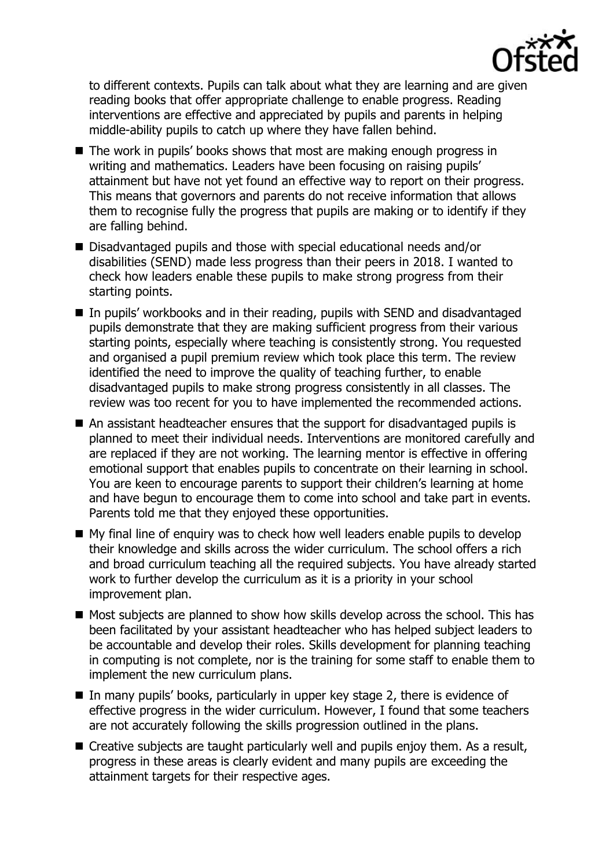

to different contexts. Pupils can talk about what they are learning and are given reading books that offer appropriate challenge to enable progress. Reading interventions are effective and appreciated by pupils and parents in helping middle-ability pupils to catch up where they have fallen behind.

- $\blacksquare$  The work in pupils' books shows that most are making enough progress in writing and mathematics. Leaders have been focusing on raising pupils' attainment but have not yet found an effective way to report on their progress. This means that governors and parents do not receive information that allows them to recognise fully the progress that pupils are making or to identify if they are falling behind.
- Disadvantaged pupils and those with special educational needs and/or disabilities (SEND) made less progress than their peers in 2018. I wanted to check how leaders enable these pupils to make strong progress from their starting points.
- In pupils' workbooks and in their reading, pupils with SEND and disadvantaged pupils demonstrate that they are making sufficient progress from their various starting points, especially where teaching is consistently strong. You requested and organised a pupil premium review which took place this term. The review identified the need to improve the quality of teaching further, to enable disadvantaged pupils to make strong progress consistently in all classes. The review was too recent for you to have implemented the recommended actions.
- An assistant headteacher ensures that the support for disadvantaged pupils is planned to meet their individual needs. Interventions are monitored carefully and are replaced if they are not working. The learning mentor is effective in offering emotional support that enables pupils to concentrate on their learning in school. You are keen to encourage parents to support their children's learning at home and have begun to encourage them to come into school and take part in events. Parents told me that they enjoyed these opportunities.
- My final line of enquiry was to check how well leaders enable pupils to develop their knowledge and skills across the wider curriculum. The school offers a rich and broad curriculum teaching all the required subjects. You have already started work to further develop the curriculum as it is a priority in your school improvement plan.
- Most subjects are planned to show how skills develop across the school. This has been facilitated by your assistant headteacher who has helped subject leaders to be accountable and develop their roles. Skills development for planning teaching in computing is not complete, nor is the training for some staff to enable them to implement the new curriculum plans.
- In many pupils' books, particularly in upper key stage 2, there is evidence of effective progress in the wider curriculum. However, I found that some teachers are not accurately following the skills progression outlined in the plans.
- Creative subjects are taught particularly well and pupils enjoy them. As a result, progress in these areas is clearly evident and many pupils are exceeding the attainment targets for their respective ages.